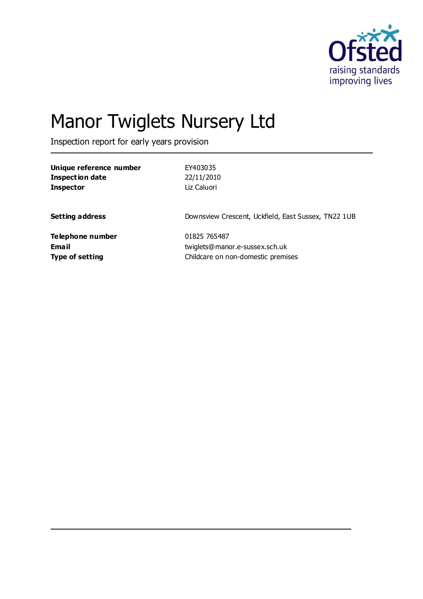

# Manor Twiglets Nursery Ltd

Inspection report for early years provision

| Unique reference number | EY403035                                            |
|-------------------------|-----------------------------------------------------|
| <b>Inspection date</b>  | 22/11/2010                                          |
| <b>Inspector</b>        | Liz Caluori                                         |
| <b>Setting address</b>  | Downsview Crescent, Uckfield, East Sussex, TN22 1UB |
| Telephone number        | 01825 765487                                        |
| Email                   | twiglets@manor.e-sussex.sch.uk                      |
| <b>Type of setting</b>  | Childcare on non-domestic premises                  |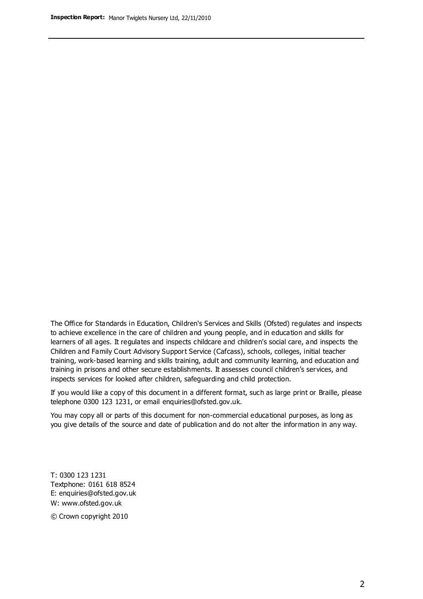The Office for Standards in Education, Children's Services and Skills (Ofsted) regulates and inspects to achieve excellence in the care of children and young people, and in education and skills for learners of all ages. It regulates and inspects childcare and children's social care, and inspects the Children and Family Court Advisory Support Service (Cafcass), schools, colleges, initial teacher training, work-based learning and skills training, adult and community learning, and education and training in prisons and other secure establishments. It assesses council children's services, and inspects services for looked after children, safeguarding and child protection.

If you would like a copy of this document in a different format, such as large print or Braille, please telephone 0300 123 1231, or email enquiries@ofsted.gov.uk.

You may copy all or parts of this document for non-commercial educational purposes, as long as you give details of the source and date of publication and do not alter the information in any way.

T: 0300 123 1231 Textphone: 0161 618 8524 E: enquiries@ofsted.gov.uk W: [www.ofsted.gov.uk](http://www.ofsted.gov.uk/)

© Crown copyright 2010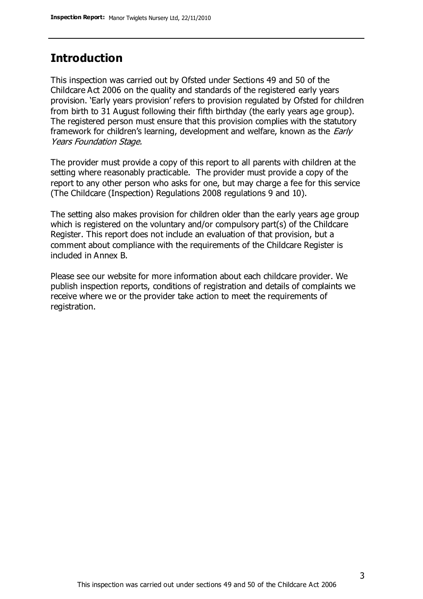### **Introduction**

This inspection was carried out by Ofsted under Sections 49 and 50 of the Childcare Act 2006 on the quality and standards of the registered early years provision. 'Early years provision' refers to provision regulated by Ofsted for children from birth to 31 August following their fifth birthday (the early years age group). The registered person must ensure that this provision complies with the statutory framework for children's learning, development and welfare, known as the *Early* Years Foundation Stage.

The provider must provide a copy of this report to all parents with children at the setting where reasonably practicable. The provider must provide a copy of the report to any other person who asks for one, but may charge a fee for this service (The Childcare (Inspection) Regulations 2008 regulations 9 and 10).

The setting also makes provision for children older than the early years age group which is registered on the voluntary and/or compulsory part(s) of the Childcare Register. This report does not include an evaluation of that provision, but a comment about compliance with the requirements of the Childcare Register is included in Annex B.

Please see our website for more information about each childcare provider. We publish inspection reports, conditions of registration and details of complaints we receive where we or the provider take action to meet the requirements of registration.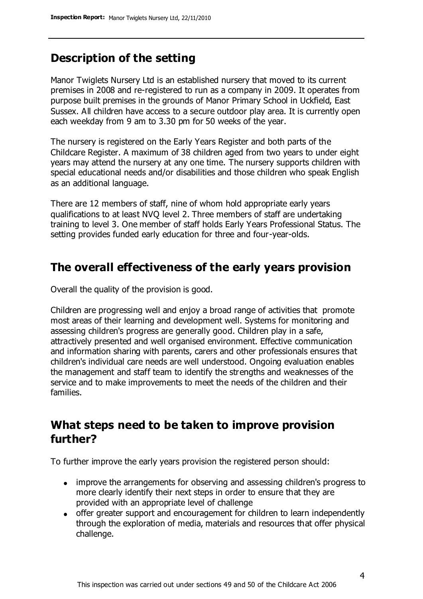# **Description of the setting**

Manor Twiglets Nursery Ltd is an established nursery that moved to its current premises in 2008 and re-registered to run as a company in 2009. It operates from purpose built premises in the grounds of Manor Primary School in Uckfield, East Sussex. All children have access to a secure outdoor play area. It is currently open each weekday from 9 am to 3.30 pm for 50 weeks of the year.

The nursery is registered on the Early Years Register and both parts of the Childcare Register. A maximum of 38 children aged from two years to under eight years may attend the nursery at any one time. The nursery supports children with special educational needs and/or disabilities and those children who speak English as an additional language.

There are 12 members of staff, nine of whom hold appropriate early years qualifications to at least NVQ level 2. Three members of staff are undertaking training to level 3. One member of staff holds Early Years Professional Status. The setting provides funded early education for three and four-year-olds.

### **The overall effectiveness of the early years provision**

Overall the quality of the provision is good.

Children are progressing well and enjoy a broad range of activities that promote most areas of their learning and development well. Systems for monitoring and assessing children's progress are generally good. Children play in a safe, attractively presented and well organised environment. Effective communication and information sharing with parents, carers and other professionals ensures that children's individual care needs are well understood. Ongoing evaluation enables the management and staff team to identify the strengths and weaknesses of the service and to make improvements to meet the needs of the children and their families.

# **What steps need to be taken to improve provision further?**

To further improve the early years provision the registered person should:

- improve the arrangements for observing and assessing children's progress to more clearly identify their next steps in order to ensure that they are provided with an appropriate level of challenge
- offer greater support and encouragement for children to learn independently through the exploration of media, materials and resources that offer physical challenge.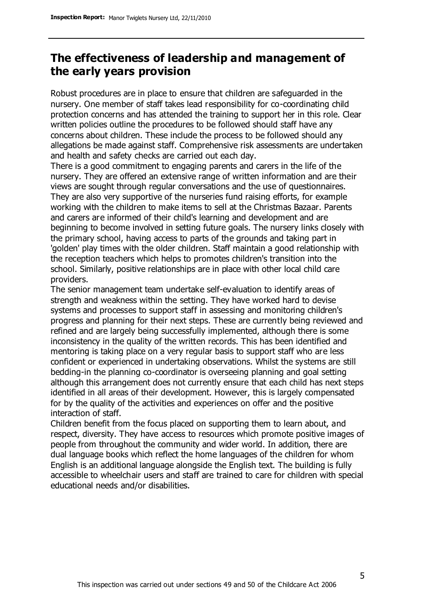# **The effectiveness of leadership and management of the early years provision**

Robust procedures are in place to ensure that children are safeguarded in the nursery. One member of staff takes lead responsibility for co-coordinating child protection concerns and has attended the training to support her in this role. Clear written policies outline the procedures to be followed should staff have any concerns about children. These include the process to be followed should any allegations be made against staff. Comprehensive risk assessments are undertaken and health and safety checks are carried out each day.

There is a good commitment to engaging parents and carers in the life of the nursery. They are offered an extensive range of written information and are their views are sought through regular conversations and the use of questionnaires. They are also very supportive of the nurseries fund raising efforts, for example working with the children to make items to sell at the Christmas Bazaar. Parents and carers are informed of their child's learning and development and are beginning to become involved in setting future goals. The nursery links closely with the primary school, having access to parts of the grounds and taking part in 'golden' play times with the older children. Staff maintain a good relationship with the reception teachers which helps to promotes children's transition into the school. Similarly, positive relationships are in place with other local child care providers.

The senior management team undertake self-evaluation to identify areas of strength and weakness within the setting. They have worked hard to devise systems and processes to support staff in assessing and monitoring children's progress and planning for their next steps. These are currently being reviewed and refined and are largely being successfully implemented, although there is some inconsistency in the quality of the written records. This has been identified and mentoring is taking place on a very regular basis to support staff who are less confident or experienced in undertaking observations. Whilst the systems are still bedding-in the planning co-coordinator is overseeing planning and goal setting although this arrangement does not currently ensure that each child has next steps identified in all areas of their development. However, this is largely compensated for by the quality of the activities and experiences on offer and the positive interaction of staff.

Children benefit from the focus placed on supporting them to learn about, and respect, diversity. They have access to resources which promote positive images of people from throughout the community and wider world. In addition, there are dual language books which reflect the home languages of the children for whom English is an additional language alongside the English text. The building is fully accessible to wheelchair users and staff are trained to care for children with special educational needs and/or disabilities.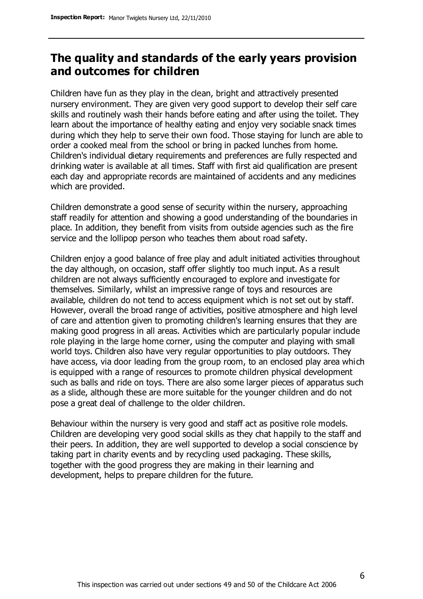# **The quality and standards of the early years provision and outcomes for children**

Children have fun as they play in the clean, bright and attractively presented nursery environment. They are given very good support to develop their self care skills and routinely wash their hands before eating and after using the toilet. They learn about the importance of healthy eating and enjoy very sociable snack times during which they help to serve their own food. Those staying for lunch are able to order a cooked meal from the school or bring in packed lunches from home. Children's individual dietary requirements and preferences are fully respected and drinking water is available at all times. Staff with first aid qualification are present each day and appropriate records are maintained of accidents and any medicines which are provided.

Children demonstrate a good sense of security within the nursery, approaching staff readily for attention and showing a good understanding of the boundaries in place. In addition, they benefit from visits from outside agencies such as the fire service and the lollipop person who teaches them about road safety.

Children enjoy a good balance of free play and adult initiated activities throughout the day although, on occasion, staff offer slightly too much input. As a result children are not always sufficiently encouraged to explore and investigate for themselves. Similarly, whilst an impressive range of toys and resources are available, children do not tend to access equipment which is not set out by staff. However, overall the broad range of activities, positive atmosphere and high level of care and attention given to promoting children's learning ensures that they are making good progress in all areas. Activities which are particularly popular include role playing in the large home corner, using the computer and playing with small world toys. Children also have very regular opportunities to play outdoors. They have access, via door leading from the group room, to an enclosed play area which is equipped with a range of resources to promote children physical development such as balls and ride on toys. There are also some larger pieces of apparatus such as a slide, although these are more suitable for the younger children and do not pose a great deal of challenge to the older children.

Behaviour within the nursery is very good and staff act as positive role models. Children are developing very good social skills as they chat happily to the staff and their peers. In addition, they are well supported to develop a social conscience by taking part in charity events and by recycling used packaging. These skills, together with the good progress they are making in their learning and development, helps to prepare children for the future.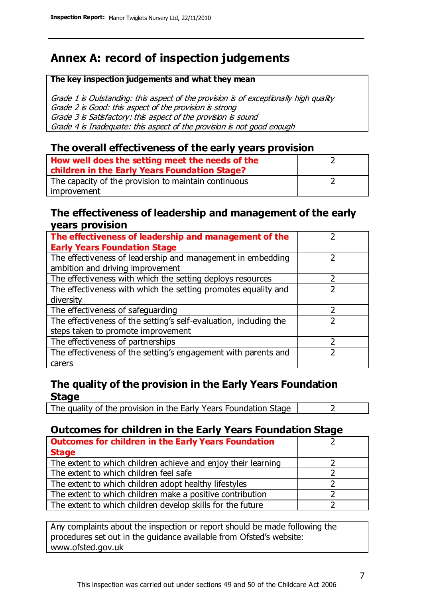# **Annex A: record of inspection judgements**

#### **The key inspection judgements and what they mean**

Grade 1 is Outstanding: this aspect of the provision is of exceptionally high quality Grade 2 is Good: this aspect of the provision is strong Grade 3 is Satisfactory: this aspect of the provision is sound Grade 4 is Inadequate: this aspect of the provision is not good enough

### **The overall effectiveness of the early years provision**

| How well does the setting meet the needs of the<br>children in the Early Years Foundation Stage? |  |
|--------------------------------------------------------------------------------------------------|--|
| The capacity of the provision to maintain continuous                                             |  |
| improvement                                                                                      |  |

### **The effectiveness of leadership and management of the early years provision**

| The effectiveness of leadership and management of the             |   |
|-------------------------------------------------------------------|---|
| <b>Early Years Foundation Stage</b>                               |   |
| The effectiveness of leadership and management in embedding       |   |
| ambition and driving improvement                                  |   |
| The effectiveness with which the setting deploys resources        |   |
| The effectiveness with which the setting promotes equality and    |   |
| diversity                                                         |   |
| The effectiveness of safeguarding                                 | 7 |
| The effectiveness of the setting's self-evaluation, including the |   |
| steps taken to promote improvement                                |   |
| The effectiveness of partnerships                                 |   |
| The effectiveness of the setting's engagement with parents and    |   |
| carers                                                            |   |

### **The quality of the provision in the Early Years Foundation Stage**

The quality of the provision in the Early Years Foundation Stage  $\vert$  2

### **Outcomes for children in the Early Years Foundation Stage**

| <b>Outcomes for children in the Early Years Foundation</b>    |  |
|---------------------------------------------------------------|--|
| <b>Stage</b>                                                  |  |
| The extent to which children achieve and enjoy their learning |  |
| The extent to which children feel safe                        |  |
| The extent to which children adopt healthy lifestyles         |  |
| The extent to which children make a positive contribution     |  |
| The extent to which children develop skills for the future    |  |

Any complaints about the inspection or report should be made following the procedures set out in the guidance available from Ofsted's website: www.ofsted.gov.uk